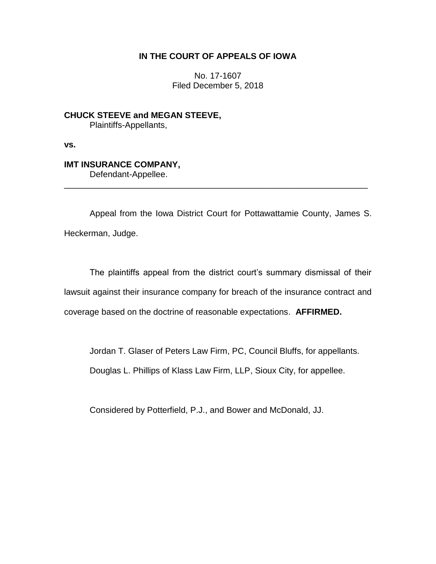## **IN THE COURT OF APPEALS OF IOWA**

No. 17-1607 Filed December 5, 2018

**CHUCK STEEVE and MEGAN STEEVE,** Plaintiffs-Appellants,

**vs.**

# **IMT INSURANCE COMPANY,**

Defendant-Appellee.

Appeal from the Iowa District Court for Pottawattamie County, James S. Heckerman, Judge.

\_\_\_\_\_\_\_\_\_\_\_\_\_\_\_\_\_\_\_\_\_\_\_\_\_\_\_\_\_\_\_\_\_\_\_\_\_\_\_\_\_\_\_\_\_\_\_\_\_\_\_\_\_\_\_\_\_\_\_\_\_\_\_\_

The plaintiffs appeal from the district court's summary dismissal of their lawsuit against their insurance company for breach of the insurance contract and coverage based on the doctrine of reasonable expectations. **AFFIRMED.**

Jordan T. Glaser of Peters Law Firm, PC, Council Bluffs, for appellants.

Douglas L. Phillips of Klass Law Firm, LLP, Sioux City, for appellee.

Considered by Potterfield, P.J., and Bower and McDonald, JJ.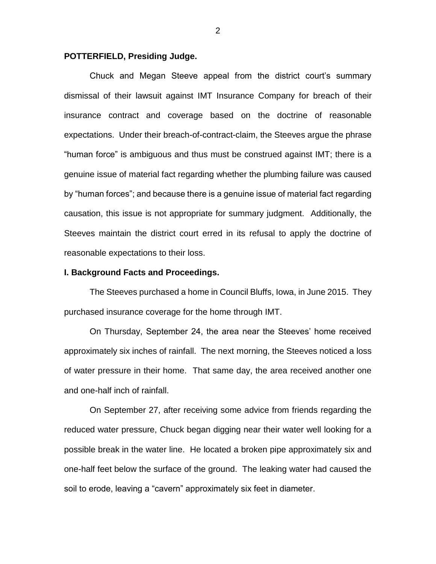#### **POTTERFIELD, Presiding Judge.**

Chuck and Megan Steeve appeal from the district court's summary dismissal of their lawsuit against IMT Insurance Company for breach of their insurance contract and coverage based on the doctrine of reasonable expectations. Under their breach-of-contract-claim, the Steeves argue the phrase "human force" is ambiguous and thus must be construed against IMT; there is a genuine issue of material fact regarding whether the plumbing failure was caused by "human forces"; and because there is a genuine issue of material fact regarding causation, this issue is not appropriate for summary judgment. Additionally, the Steeves maintain the district court erred in its refusal to apply the doctrine of reasonable expectations to their loss.

#### **I. Background Facts and Proceedings.**

The Steeves purchased a home in Council Bluffs, Iowa, in June 2015. They purchased insurance coverage for the home through IMT.

On Thursday, September 24, the area near the Steeves' home received approximately six inches of rainfall. The next morning, the Steeves noticed a loss of water pressure in their home. That same day, the area received another one and one-half inch of rainfall.

On September 27, after receiving some advice from friends regarding the reduced water pressure, Chuck began digging near their water well looking for a possible break in the water line. He located a broken pipe approximately six and one-half feet below the surface of the ground. The leaking water had caused the soil to erode, leaving a "cavern" approximately six feet in diameter.

2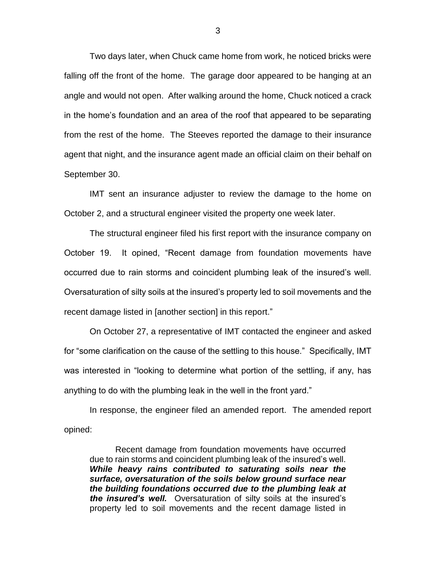Two days later, when Chuck came home from work, he noticed bricks were falling off the front of the home. The garage door appeared to be hanging at an angle and would not open. After walking around the home, Chuck noticed a crack in the home's foundation and an area of the roof that appeared to be separating from the rest of the home. The Steeves reported the damage to their insurance agent that night, and the insurance agent made an official claim on their behalf on September 30.

IMT sent an insurance adjuster to review the damage to the home on October 2, and a structural engineer visited the property one week later.

The structural engineer filed his first report with the insurance company on October 19. It opined, "Recent damage from foundation movements have occurred due to rain storms and coincident plumbing leak of the insured's well. Oversaturation of silty soils at the insured's property led to soil movements and the recent damage listed in [another section] in this report."

On October 27, a representative of IMT contacted the engineer and asked for "some clarification on the cause of the settling to this house." Specifically, IMT was interested in "looking to determine what portion of the settling, if any, has anything to do with the plumbing leak in the well in the front yard."

In response, the engineer filed an amended report. The amended report opined:

Recent damage from foundation movements have occurred due to rain storms and coincident plumbing leak of the insured's well. *While heavy rains contributed to saturating soils near the surface, oversaturation of the soils below ground surface near the building foundations occurred due to the plumbing leak at the insured's well.* Oversaturation of silty soils at the insured's property led to soil movements and the recent damage listed in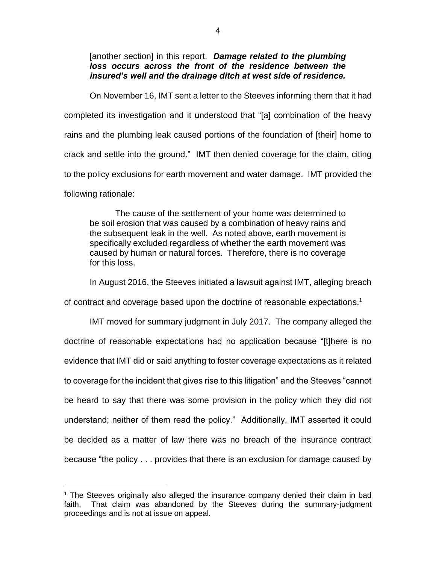[another section] in this report. *Damage related to the plumbing loss occurs across the front of the residence between the insured's well and the drainage ditch at west side of residence.* 

On November 16, IMT sent a letter to the Steeves informing them that it had completed its investigation and it understood that "[a] combination of the heavy rains and the plumbing leak caused portions of the foundation of [their] home to crack and settle into the ground." IMT then denied coverage for the claim, citing to the policy exclusions for earth movement and water damage. IMT provided the following rationale:

The cause of the settlement of your home was determined to be soil erosion that was caused by a combination of heavy rains and the subsequent leak in the well. As noted above, earth movement is specifically excluded regardless of whether the earth movement was caused by human or natural forces. Therefore, there is no coverage for this loss.

In August 2016, the Steeves initiated a lawsuit against IMT, alleging breach

of contract and coverage based upon the doctrine of reasonable expectations.<sup>1</sup>

IMT moved for summary judgment in July 2017. The company alleged the doctrine of reasonable expectations had no application because "[t]here is no evidence that IMT did or said anything to foster coverage expectations as it related to coverage for the incident that gives rise to this litigation" and the Steeves "cannot be heard to say that there was some provision in the policy which they did not understand; neither of them read the policy." Additionally, IMT asserted it could be decided as a matter of law there was no breach of the insurance contract because "the policy . . . provides that there is an exclusion for damage caused by

 $\overline{a}$ 

<sup>&</sup>lt;sup>1</sup> The Steeves originally also alleged the insurance company denied their claim in bad faith. That claim was abandoned by the Steeves during the summary-judgment proceedings and is not at issue on appeal.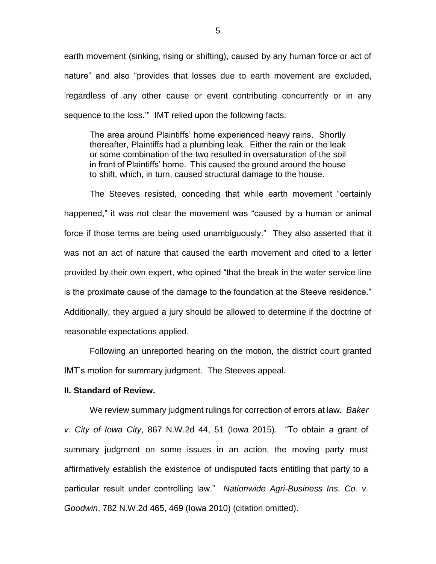earth movement (sinking, rising or shifting), caused by any human force or act of nature" and also "provides that losses due to earth movement are excluded, 'regardless of any other cause or event contributing concurrently or in any sequence to the loss.'" IMT relied upon the following facts:

The area around Plaintiffs' home experienced heavy rains. Shortly thereafter, Plaintiffs had a plumbing leak. Either the rain or the leak or some combination of the two resulted in oversaturation of the soil in front of Plaintiffs' home. This caused the ground around the house to shift, which, in turn, caused structural damage to the house.

The Steeves resisted, conceding that while earth movement "certainly happened," it was not clear the movement was "caused by a human or animal force if those terms are being used unambiguously." They also asserted that it was not an act of nature that caused the earth movement and cited to a letter provided by their own expert, who opined "that the break in the water service line is the proximate cause of the damage to the foundation at the Steeve residence." Additionally, they argued a jury should be allowed to determine if the doctrine of reasonable expectations applied.

Following an unreported hearing on the motion, the district court granted IMT's motion for summary judgment. The Steeves appeal.

#### **II. Standard of Review.**

We review summary judgment rulings for correction of errors at law. *Baker v. City of Iowa City*, 867 N.W.2d 44, 51 (Iowa 2015). "To obtain a grant of summary judgment on some issues in an action, the moving party must affirmatively establish the existence of undisputed facts entitling that party to a particular result under controlling law." *Nationwide Agri-Business Ins. Co. v. Goodwin*, 782 N.W.2d 465, 469 (Iowa 2010) (citation omitted).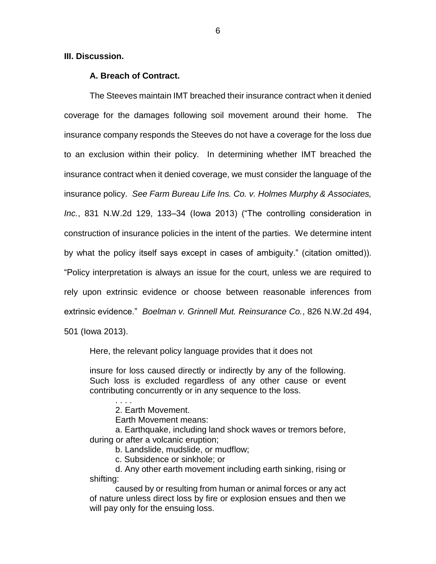**III. Discussion.**

### **A. Breach of Contract.**

The Steeves maintain IMT breached their insurance contract when it denied coverage for the damages following soil movement around their home. The insurance company responds the Steeves do not have a coverage for the loss due to an exclusion within their policy. In determining whether IMT breached the insurance contract when it denied coverage, we must consider the language of the insurance policy. *See Farm Bureau Life Ins. Co. v. Holmes Murphy & Associates, Inc.*, 831 N.W.2d 129, 133–34 (Iowa 2013) ("The controlling consideration in construction of insurance policies in the intent of the parties. We determine intent by what the policy itself says except in cases of ambiguity." (citation omitted)). "Policy interpretation is always an issue for the court, unless we are required to rely upon extrinsic evidence or choose between reasonable inferences from extrinsic evidence." *Boelman v. Grinnell Mut. Reinsurance Co.*, 826 N.W.2d 494,

501 (Iowa 2013).

Here, the relevant policy language provides that it does not

insure for loss caused directly or indirectly by any of the following. Such loss is excluded regardless of any other cause or event contributing concurrently or in any sequence to the loss.

2. Earth Movement.

Earth Movement means:

a. Earthquake, including land shock waves or tremors before, during or after a volcanic eruption;

b. Landslide, mudslide, or mudflow;

c. Subsidence or sinkhole; or

d. Any other earth movement including earth sinking, rising or shifting:

caused by or resulting from human or animal forces or any act of nature unless direct loss by fire or explosion ensues and then we will pay only for the ensuing loss.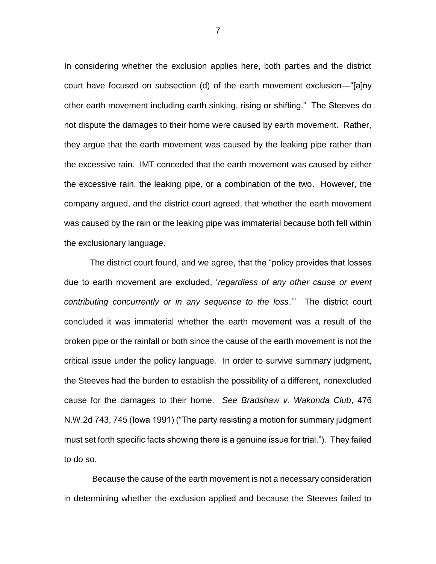In considering whether the exclusion applies here, both parties and the district court have focused on subsection (d) of the earth movement exclusion—"[a]ny other earth movement including earth sinking, rising or shifting." The Steeves do not dispute the damages to their home were caused by earth movement. Rather, they argue that the earth movement was caused by the leaking pipe rather than the excessive rain. IMT conceded that the earth movement was caused by either the excessive rain, the leaking pipe, or a combination of the two. However, the company argued, and the district court agreed, that whether the earth movement was caused by the rain or the leaking pipe was immaterial because both fell within the exclusionary language.

The district court found, and we agree, that the "policy provides that losses due to earth movement are excluded, '*regardless of any other cause or event contributing concurrently or in any sequence to the loss*.'" The district court concluded it was immaterial whether the earth movement was a result of the broken pipe or the rainfall or both since the cause of the earth movement is not the critical issue under the policy language. In order to survive summary judgment, the Steeves had the burden to establish the possibility of a different, nonexcluded cause for the damages to their home. *See Bradshaw v. Wakonda Club*, 476 N.W.2d 743, 745 (Iowa 1991) ("The party resisting a motion for summary judgment must set forth specific facts showing there is a genuine issue for trial."). They failed to do so.

Because the cause of the earth movement is not a necessary consideration in determining whether the exclusion applied and because the Steeves failed to

7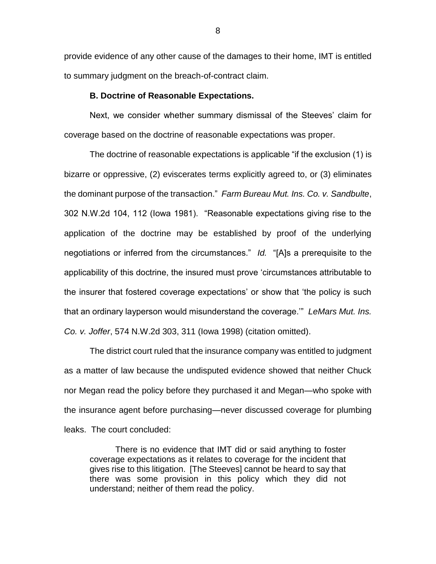provide evidence of any other cause of the damages to their home, IMT is entitled to summary judgment on the breach-of-contract claim.

#### **B. Doctrine of Reasonable Expectations.**

Next, we consider whether summary dismissal of the Steeves' claim for coverage based on the doctrine of reasonable expectations was proper.

The doctrine of reasonable expectations is applicable "if the exclusion (1) is bizarre or oppressive, (2) eviscerates terms explicitly agreed to, or (3) eliminates the dominant purpose of the transaction." *Farm Bureau Mut. Ins. Co. v. Sandbulte*, 302 N.W.2d 104, 112 (Iowa 1981). "Reasonable expectations giving rise to the application of the doctrine may be established by proof of the underlying negotiations or inferred from the circumstances." *Id.* "[A]s a prerequisite to the applicability of this doctrine, the insured must prove 'circumstances attributable to the insurer that fostered coverage expectations' or show that 'the policy is such that an ordinary layperson would misunderstand the coverage.'" *LeMars Mut. Ins. Co. v. Joffer*, 574 N.W.2d 303, 311 (Iowa 1998) (citation omitted).

The district court ruled that the insurance company was entitled to judgment as a matter of law because the undisputed evidence showed that neither Chuck nor Megan read the policy before they purchased it and Megan—who spoke with the insurance agent before purchasing—never discussed coverage for plumbing leaks. The court concluded:

There is no evidence that IMT did or said anything to foster coverage expectations as it relates to coverage for the incident that gives rise to this litigation. [The Steeves] cannot be heard to say that there was some provision in this policy which they did not understand; neither of them read the policy.

8